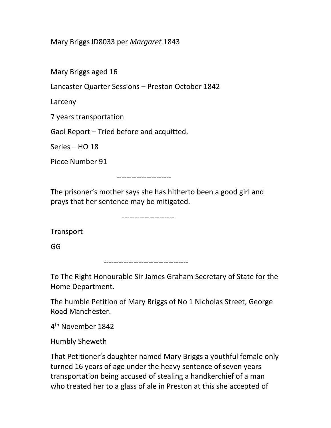Mary Briggs ID8033 per Margaret 1843

Mary Briggs aged 16

Lancaster Quarter Sessions – Preston October 1842

Larceny

7 years transportation

Gaol Report – Tried before and acquitted.

Series – HO 18

Piece Number 91

----------------------

The prisoner's mother says she has hitherto been a good girl and prays that her sentence may be mitigated.

---------------------

**Transport** 

GG

----------------------------------

To The Right Honourable Sir James Graham Secretary of State for the Home Department.

The humble Petition of Mary Briggs of No 1 Nicholas Street, George Road Manchester.

4 th November 1842

Humbly Sheweth

That Petitioner's daughter named Mary Briggs a youthful female only turned 16 years of age under the heavy sentence of seven years transportation being accused of stealing a handkerchief of a man who treated her to a glass of ale in Preston at this she accepted of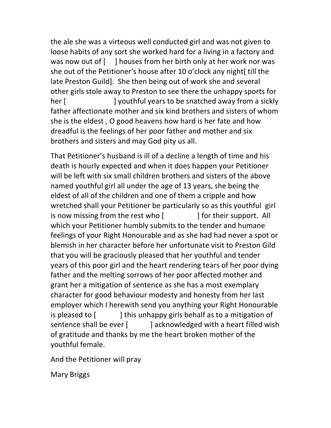the ale she was a virteous well conducted girl and was not given to loose habits of any sort she worked hard for a living in a factory and was now out of [ ] houses from her birth only at her work nor was she out of the Petitioner's house after 10 o'clock any night[ till the late Preston Guild]. She then being out of work she and several other girls stole away to Preston to see there the unhappy sports for her [ ] youthful years to be snatched away from a sickly father affectionate mother and six kind brothers and sisters of whom she is the eldest , O good heavens how hard is her fate and how dreadful is the feelings of her poor father and mother and six brothers and sisters and may God pity us all.

That Petitioner's husband is ill of a decline a length of time and his death is hourly expected and when it does happen your Petitioner will be left with six small children brothers and sisters of the above named youthful girl all under the age of 13 years, she being the eldest of all of the children and one of them a cripple and how wretched shall your Petitioner be particularly so as this youthful girl is now missing from the rest who [ ] for their support. All which your Petitioner humbly submits to the tender and humane feelings of your Right Honourable and as she had had never a spot or blemish in her character before her unfortunate visit to Preston Gild that you will be graciously pleased that her youthful and tender years of this poor girl and the heart rendering tears of her poor dying father and the melting sorrows of her poor affected mother and grant her a mitigation of sentence as she has a most exemplary character for good behaviour modesty and honesty from her last employer which I herewith send you anything your Right Honourable is pleased to  $\lceil \cdot \cdot \rceil$  this unhappy girls behalf as to a mitigation of sentence shall be ever [ ] acknowledged with a heart filled wish of gratitude and thanks by me the heart broken mother of the youthful female.

And the Petitioner will pray

Mary Briggs